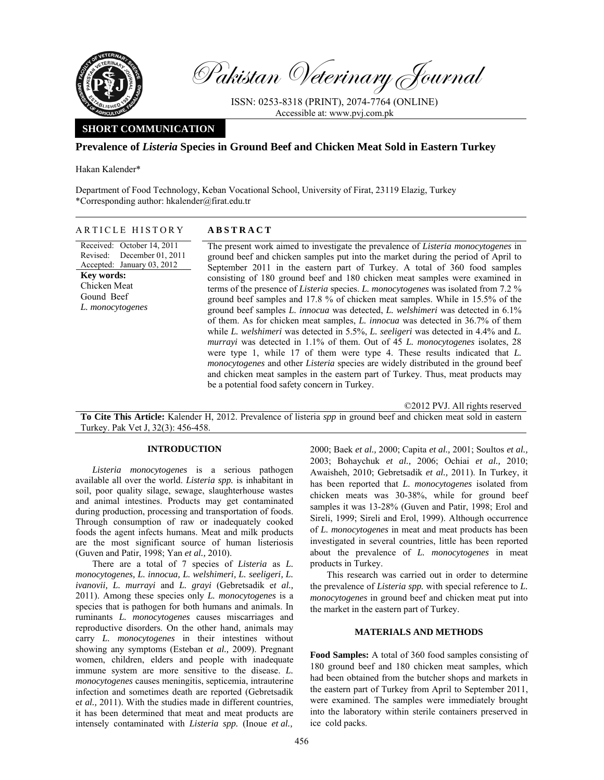

Pakistan Veterinary Journal

ISSN: 0253-8318 (PRINT), 2074-7764 (ONLINE) Accessible at: www.pvj.com.pk

# **SHORT COMMUNICATION**

# **Prevalence of** *Listeria* **Species in Ground Beef and Chicken Meat Sold in Eastern Turkey**

Hakan Kalender\*

Department of Food Technology, Keban Vocational School, University of Firat, 23119 Elazig, Turkey \*Corresponding author: hkalender@firat.edu.tr

## ARTICLE HISTORY **ABSTRACT**

Received: October 14, 2011 Revised: Accepted: January 03, 2012 December 01, 2011 **Key words:**  Chicken Meat Gound Beef *L. monocytogenes* 

The present work aimed to investigate the prevalence of *Listeria monocytogenes* in ground beef and chicken samples put into the market during the period of April to September 2011 in the eastern part of Turkey. A total of 360 food samples consisting of 180 ground beef and 180 chicken meat samples were examined in terms of the presence of *Listeria* species. *L. monocytogenes* was isolated from 7.2 % ground beef samples and 17.8 % of chicken meat samples. While in 15.5% of the ground beef samples *L. innocua* was detected, *L. welshimeri* was detected in 6.1% of them. As for chicken meat samples, *L. innocua* was detected in 36.7% of them while *L. welshimeri* was detected in 5.5%, *L. seeligeri* was detected in 4.4% and *L. murrayi* was detected in 1.1% of them. Out of 45 *L. monocytogenes* isolates, 28 were type 1, while 17 of them were type 4. These results indicated that *L. monocytogenes* and other *Listeria* species are widely distributed in the ground beef and chicken meat samples in the eastern part of Turkey. Thus, meat products may be a potential food safety concern in Turkey.

©2012 PVJ. All rights reserved

**To Cite This Article:** Kalender H, 2012. Prevalence of listeria *spp* in ground beef and chicken meat sold in eastern Turkey. Pak Vet J, 32(3): 456-458.

# **INTRODUCTION**

*Listeria monocytogenes* is a serious pathogen available all over the world. *Listeria spp.* is inhabitant in soil, poor quality silage, sewage, slaughterhouse wastes and animal intestines. Products may get contaminated during production, processing and transportation of foods. Through consumption of raw or inadequately cooked foods the agent infects humans. Meat and milk products are the most significant source of human listeriosis (Guven and Patir, 1998; Yan *et al.,* 2010).

There are a total of 7 species of *Listeria* as *L. monocytogenes, L. innocua, L. welshimeri, L. seeligeri, L. ivanovii, L. murrayi* and *L. grayi* (Gebretsadik e*t al.,* 2011). Among these species only *L. monocytogenes* is a species that is pathogen for both humans and animals. In ruminants *L. monocytogenes* causes miscarriages and reproductive disorders. On the other hand, animals may carry *L. monocytogenes* in their intestines without showing any symptoms (Esteban e*t al.,* 2009). Pregnant women, children, elders and people with inadequate immune system are more sensitive to the disease. *L. monocytogenes* causes meningitis, septicemia, intrauterine infection and sometimes death are reported (Gebretsadik e*t al.,* 2011). With the studies made in different countries, it has been determined that meat and meat products are intensely contaminated with *Listeria spp.* (Inoue *et al.,*

2000; Baek *et al.,* 2000; Capita *et al.,* 2001; Soultos *et al.,* 2003; Bohaychuk *et al.,* 2006; Ochiai *et al.,* 2010; Awaisheh, 2010; Gebretsadik *et al.,* 2011). In Turkey, it has been reported that *L. monocytogenes* isolated from chicken meats was 30-38%, while for ground beef samples it was 13-28% (Guven and Patir, 1998; Erol and Sireli, 1999; Sireli and Erol, 1999). Although occurrence of *L. monocytogenes* in meat and meat products has been investigated in several countries, little has been reported about the prevalence of *L. monocytogenes* in meat products in Turkey.

This research was carried out in order to determine the prevalence of *Listeria spp.* with special reference to *L. monocytogenes* in ground beef and chicken meat put into the market in the eastern part of Turkey.

# **MATERIALS AND METHODS**

**Food Samples:** A total of 360 food samples consisting of 180 ground beef and 180 chicken meat samples, which had been obtained from the butcher shops and markets in the eastern part of Turkey from April to September 2011, were examined. The samples were immediately brought into the laboratory within sterile containers preserved in ice cold packs.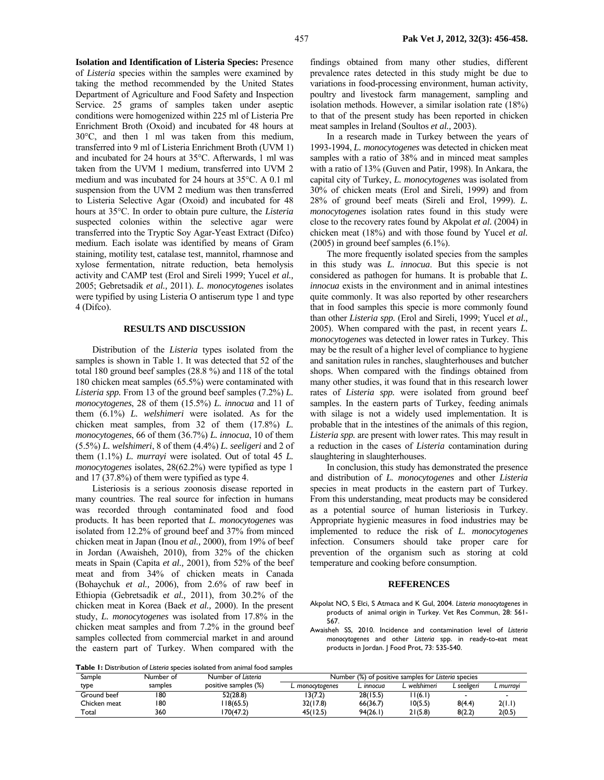**Isolation and Identification of Listeria Species:** Presence of *Listeria* species within the samples were examined by taking the method recommended by the United States Department of Agriculture and Food Safety and Inspection Service. 25 grams of samples taken under aseptic conditions were homogenized within 225 ml of Listeria Pre Enrichment Broth (Oxoid) and incubated for 48 hours at 30°C, and then 1 ml was taken from this medium, transferred into 9 ml of Listeria Enrichment Broth (UVM 1) and incubated for 24 hours at 35°C. Afterwards, 1 ml was taken from the UVM 1 medium, transferred into UVM 2 medium and was incubated for 24 hours at 35°C. A 0.1 ml suspension from the UVM 2 medium was then transferred to Listeria Selective Agar (Oxoid) and incubated for 48 hours at 35°C. In order to obtain pure culture, the *Listeria* suspected colonies within the selective agar were transferred into the Tryptic Soy Agar-Yeast Extract (Difco) medium. Each isolate was identified by means of Gram staining, motility test, catalase test, mannitol, rhamnose and xylose fermentation, nitrate reduction, beta hemolysis activity and CAMP test (Erol and Sireli 1999; Yucel *et al.,* 2005; Gebretsadik *et al.,* 2011). *L. monocytogenes* isolates were typified by using Listeria O antiserum type 1 and type 4 (Difco).

## **RESULTS AND DISCUSSION**

Distribution of the *Listeria* types isolated from the samples is shown in Table 1. It was detected that 52 of the total 180 ground beef samples (28.8 %) and 118 of the total 180 chicken meat samples (65.5%) were contaminated with *Listeria spp.* From 13 of the ground beef samples (7.2%) *L. monocytogenes*, 28 of them (15.5%) *L. innocua* and 11 of them (6.1%) *L. welshimeri* were isolated. As for the chicken meat samples, from 32 of them (17.8%) *L. monocytogenes*, 66 of them (36.7%) *L. innocua*, 10 of them (5.5%) *L. welshimeri*, 8 of them (4.4%) *L. seeligeri* and 2 of them (1.1%) *L. murrayi* were isolated. Out of total 45 *L. monocytogenes* isolates, 28(62.2%) were typified as type 1 and 17 (37.8%) of them were typified as type 4.

Listeriosis is a serious zoonosis disease reported in many countries. The real source for infection in humans was recorded through contaminated food and food products. It has been reported that *L. monocytogenes* was isolated from 12.2% of ground beef and 37% from minced chicken meat in Japan (Inou *et al.,* 2000), from 19% of beef in Jordan (Awaisheh, 2010), from 32% of the chicken meats in Spain (Capita *et al.,* 2001), from 52% of the beef meat and from 34% of chicken meats in Canada (Bohaychuk *et al.,* 2006), from 2.6% of raw beef in Ethiopia (Gebretsadik e*t al.,* 2011), from 30.2% of the chicken meat in Korea (Baek *et al.,* 2000). In the present study, *L. monocytogenes* was isolated from 17.8% in the chicken meat samples and from 7.2% in the ground beef samples collected from commercial market in and around the eastern part of Turkey. When compared with the

findings obtained from many other studies, different prevalence rates detected in this study might be due to variations in food-processing environment, human activity, poultry and livestock farm management, sampling and isolation methods. However, a similar isolation rate (18%) to that of the present study has been reported in chicken meat samples in Ireland (Soultos *et al.,* 2003).

In a research made in Turkey between the years of 1993-1994, *L. monocytogenes* was detected in chicken meat samples with a ratio of 38% and in minced meat samples with a ratio of 13% (Guven and Patir, 1998). In Ankara, the capital city of Turkey, *L. monocytogenes* was isolated from 30% of chicken meats (Erol and Sireli, 1999) and from 28% of ground beef meats (Sireli and Erol, 1999). *L. monocytogenes* isolation rates found in this study were close to the recovery rates found by Akpolat *et al.* (2004) in chicken meat (18%) and with those found by Yucel *et al.* (2005) in ground beef samples (6.1%).

The more frequently isolated species from the samples in this study was *L. innocua*. But this specie is not considered as pathogen for humans. It is probable that *L. innocua* exists in the environment and in animal intestines quite commonly. It was also reported by other researchers that in food samples this specie is more commonly found than other *Listeria spp.* (Erol and Sireli, 1999; Yucel *et al.,* 2005). When compared with the past, in recent years *L. monocytogenes* was detected in lower rates in Turkey. This may be the result of a higher level of compliance to hygiene and sanitation rules in ranches, slaughterhouses and butcher shops. When compared with the findings obtained from many other studies, it was found that in this research lower rates of *Listeria spp.* were isolated from ground beef samples. In the eastern parts of Turkey, feeding animals with silage is not a widely used implementation. It is probable that in the intestines of the animals of this region, *Listeria spp.* are present with lower rates. This may result in a reduction in the cases of *Listeria* contamination during slaughtering in slaughterhouses.

In conclusion, this study has demonstrated the presence and distribution of *L. monocytogenes* and other *Listeria* species in meat products in the eastern part of Turkey. From this understanding, meat products may be considered as a potential source of human listeriosis in Turkey. Appropriate hygienic measures in food industries may be implemented to reduce the risk of *L. monocytogenes*  infection. Consumers should take proper care for prevention of the organism such as storing at cold temperature and cooking before consumption.

### **REFERENCES**

- Akpolat NO, S Elci, S Atmaca and K Gul, 2004. *Listeria monocytogenes* in products of animal origin in Turkey. Vet Res Commun, 28: 561- 567.
- Awaisheh SS, 2010. Incidence and contamination level of *Listeria monocytogenes* and other *Listeria* spp. in ready-to-eat meat products in Jordan. J Food Prot, 73: 535-540.

**Table 1:** Distribution of *Listeria* species isolated from animal food samples

| Sample       | Number of | Number of Listeria   | Number (%) of positive samples for Listeria species |          |            |             |           |
|--------------|-----------|----------------------|-----------------------------------------------------|----------|------------|-------------|-----------|
| type         | samples   | positive samples (%) | L. monocvtogenes                                    | innocua  | welshimeri | L seeligeri | _ murravi |
| Ground beef  | 180       | 52(28.8)             | 13(7.2)                                             | 28(15.5) | l I (6.1)  |             |           |
| Chicken meat | 180       | 18(65.5)             | 32(17.8)                                            | 66(36.7) | 10(5.5)    | 8(4.4)      | 2(1,1)    |
| Total        | 360       | 70(47.2)             | 45(12.5)                                            | 94(26.1) | 21(5.8)    | 8(2.2)      | 2(0.5)    |